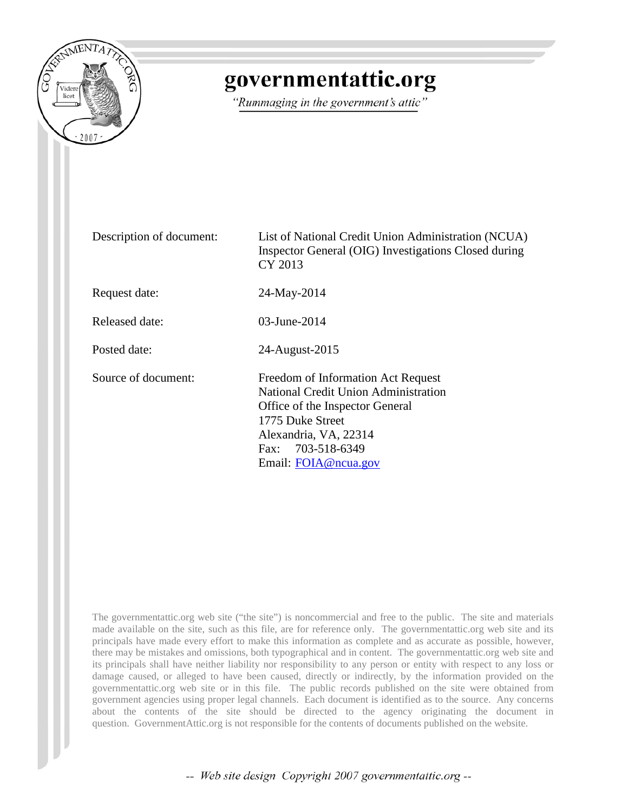

## governmentattic.org

"Rummaging in the government's attic"

| Description of document: | List of National Credit Union Administration (NCUA)<br>Inspector General (OIG) Investigations Closed during<br>CY 2013                                                                                         |  |
|--------------------------|----------------------------------------------------------------------------------------------------------------------------------------------------------------------------------------------------------------|--|
| Request date:            | 24-May-2014                                                                                                                                                                                                    |  |
| Released date:           | $03$ -June-2014                                                                                                                                                                                                |  |
| Posted date:             | 24-August-2015                                                                                                                                                                                                 |  |
| Source of document:      | Freedom of Information Act Request<br><b>National Credit Union Administration</b><br>Office of the Inspector General<br>1775 Duke Street<br>Alexandria, VA, 22314<br>Fax: 703-518-6349<br>Email: FOIA@ncua.gov |  |

The governmentattic.org web site ("the site") is noncommercial and free to the public. The site and materials made available on the site, such as this file, are for reference only. The governmentattic.org web site and its principals have made every effort to make this information as complete and as accurate as possible, however, there may be mistakes and omissions, both typographical and in content. The governmentattic.org web site and its principals shall have neither liability nor responsibility to any person or entity with respect to any loss or damage caused, or alleged to have been caused, directly or indirectly, by the information provided on the governmentattic.org web site or in this file. The public records published on the site were obtained from government agencies using proper legal channels. Each document is identified as to the source. Any concerns about the contents of the site should be directed to the agency originating the document in question. GovernmentAttic.org is not responsible for the contents of documents published on the website.

-- Web site design Copyright 2007 governmentattic.org --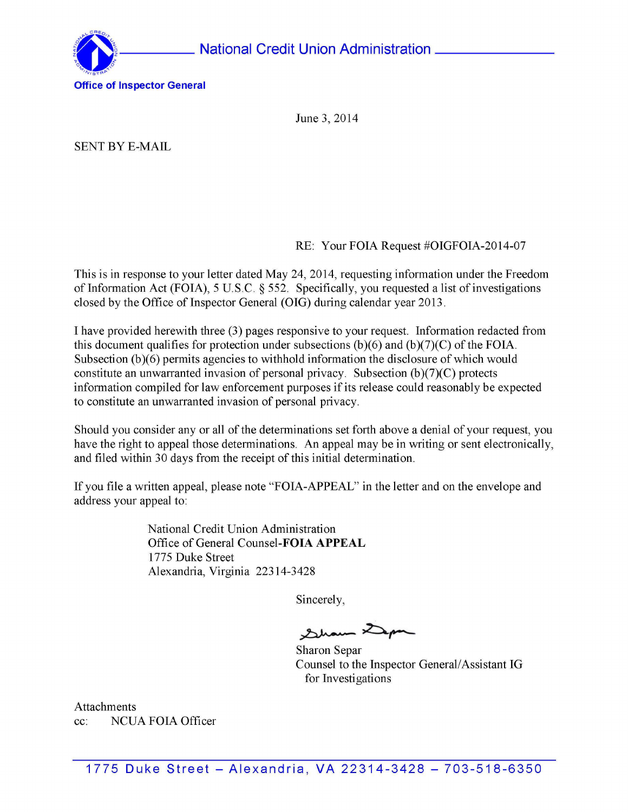

June 3, 2014

SENT BY E-MAIL

RE: Your FOIA Request #OIGFOIA-2014-07

This is in response to your letter dated May 24, 2014, requesting information under the Freedom of Information Act (FOIA), 5 U.S.C.  $\S$  552. Specifically, you requested a list of investigations closed by the Office of Inspector General (OIG) during calendar year 2013.

I have provided herewith three (3) pages responsive to your request. Information redacted from this document qualifies for protection under subsections  $(b)(6)$  and  $(b)(7)(C)$  of the FOIA. Subsection (b)(6) permits agencies to withhold information the disclosure of which would constitute an unwarranted invasion of personal privacy. Subsection  $(b)(7)(C)$  protects information compiled for law enforcement purposes if its release could reasonably be expected to constitute an unwarranted invasion of personal privacy.

Should you consider any or all of the determinations set forth above a denial of your request, you have the right to appeal those determinations. An appeal may be in writing or sent electronically, and filed within 30 days from the receipt of this initial determination.

If you file a written appeal, please note "FOIA-APPEAL" in the letter and on the envelope and address your appeal to:

> National Credit Union Administration Office of General Counsel-FOIA **APPEAL**  1775 Duke Street Alexandria, Virginia 22314-3428

> > Sincerely,

Sham Dep

Sharon Separ Counsel to the Inspector General/ Assistant IG for Investigations

Attachments cc: NCUA FOIA Officer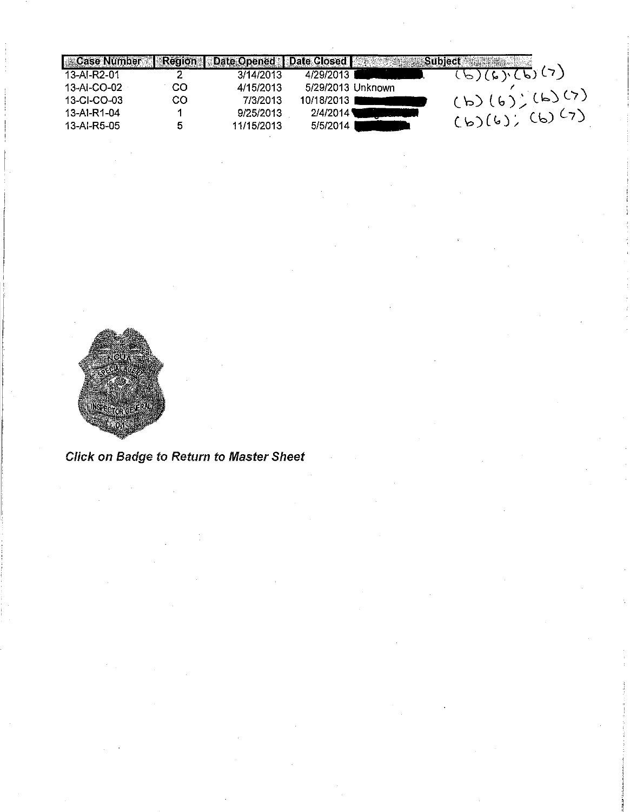| <b>Case Number</b> | <b>I</b> Region | Date Opened   Date Closed |                   | Subject              |
|--------------------|-----------------|---------------------------|-------------------|----------------------|
| 13-AI-R2-01        |                 | 3/14/2013                 | 4/29/2013         | (5)(6)(6)(7)         |
| 13-AI-CO-02        | CO              | 4/15/2013                 | 5/29/2013 Unknown |                      |
| 13-CI-CO-03        | CO              | 7/3/2013                  | 10/18/2013 I      | (b)(6)(6)(6)         |
| 13-AI-R1-04        |                 | 9/25/2013                 | 2/4/2014 \        | $(b)(b)(b)(b)^{(7)}$ |
| 13-AI-R5-05        |                 | 11/15/2013                | 5/5/2014          |                      |



Click on Badge to Return to Master Sheet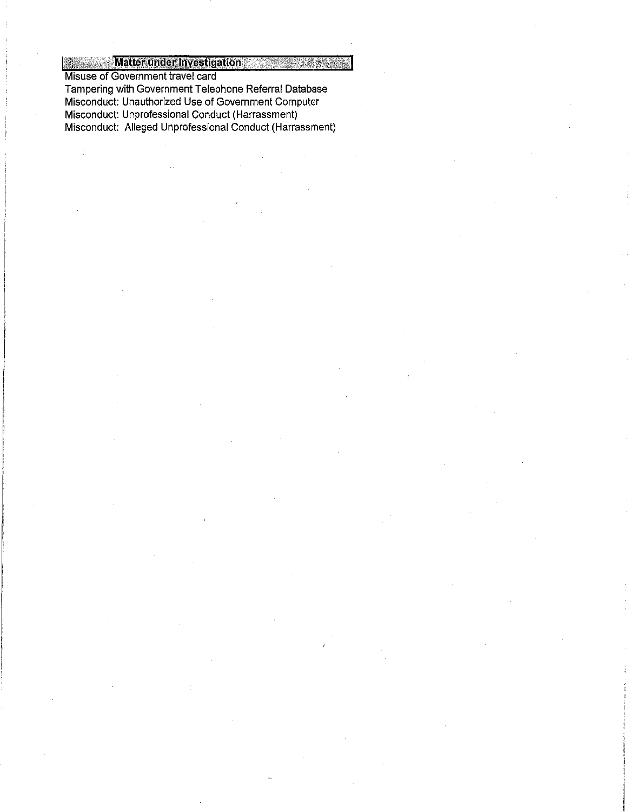**Matter under Investigation Beatting** 

Misuse of Government travel card Tampering with Government Telephone Referral Database Misconduct: Unauthorized Use of Government Computer

đ

Misconduct: Unprofessional Conduct (Harrassment)

Misconduct: Alleged Unprofessional Conduct (Harrassment)